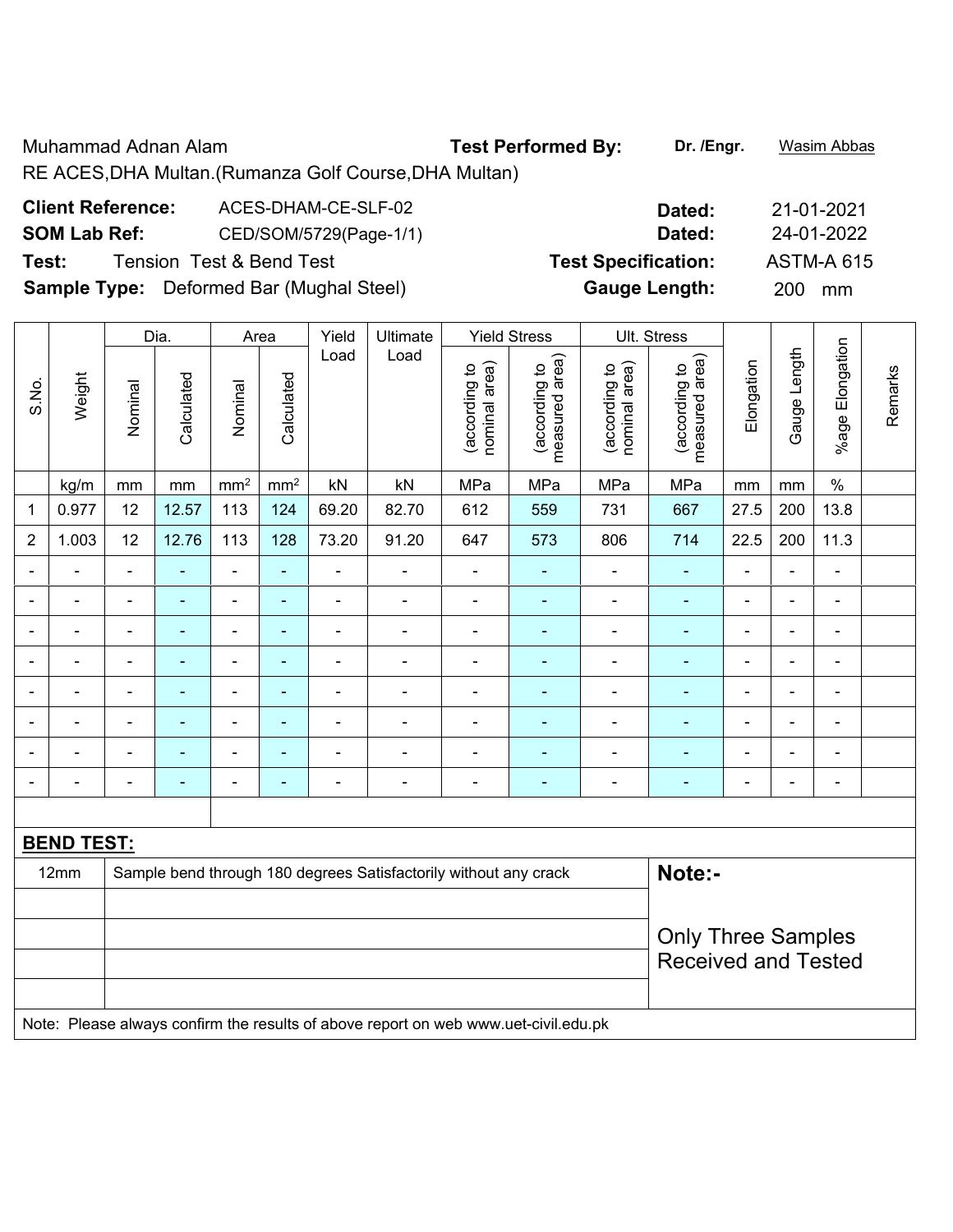Muhammad Adnan Alam **Test Performed By: Dr. /Engr.** Wasim Abbas RE ACES,DHA Multan.(Rumanza Golf Course,DHA Multan)

| <b>Client Reference:</b> | ACES-DHAM-CE-SLF-02                             | Dated:                     | 21-01-2021        |
|--------------------------|-------------------------------------------------|----------------------------|-------------------|
| <b>SOM Lab Ref:</b>      | CED/SOM/5729(Page-1/1)                          | Dated:                     | 24-01-2022        |
| Test:                    | <b>Tension Test &amp; Bend Test</b>             | <b>Test Specification:</b> | <b>ASTM-A 615</b> |
|                          | <b>Sample Type:</b> Deformed Bar (Mughal Steel) | <b>Gauge Length:</b>       | 200 mm            |

|                                                                                    |                |                | Dia.                     |                              | Area                         | Yield          | Ultimate                 |                                | <b>Yield Stress</b>             |                                | Ult. Stress                     |                |                          |                          |         |
|------------------------------------------------------------------------------------|----------------|----------------|--------------------------|------------------------------|------------------------------|----------------|--------------------------|--------------------------------|---------------------------------|--------------------------------|---------------------------------|----------------|--------------------------|--------------------------|---------|
| S.No.                                                                              | Weight         | Nominal        | Calculated               | Nominal                      | Calculated                   | Load           | Load                     | nominal area)<br>(according to | measured area)<br>(according to | nominal area)<br>(according to | measured area)<br>(according to | Elongation     | Gauge Length             | %age Elongation          | Remarks |
|                                                                                    | kg/m           | mm             | $\,mm$                   | mm <sup>2</sup>              | mm <sup>2</sup>              | kN             | kN                       | MPa                            | MPa                             | MPa                            | MPa                             | mm             | mm                       | $\%$                     |         |
| 1                                                                                  | 0.977          | 12             | 12.57                    | 113                          | 124                          | 69.20          | 82.70                    | 612                            | 559                             | 731                            | 667                             | 27.5           | 200                      | 13.8                     |         |
| $\overline{2}$                                                                     | 1.003          | 12             | 12.76                    | 113                          | 128                          | 73.20          | 91.20                    | 647                            | 573                             | 806                            | 714                             | 22.5           | 200                      | 11.3                     |         |
| $\overline{\phantom{0}}$                                                           | $\blacksquare$ | $\blacksquare$ | $\blacksquare$           | $\frac{1}{2}$                | ÷                            | ä,             | $\overline{\phantom{a}}$ | $\blacksquare$                 | $\blacksquare$                  | $\blacksquare$                 | $\blacksquare$                  | $\blacksquare$ | $\blacksquare$           | ۰                        |         |
|                                                                                    | $\overline{a}$ |                |                          | ۰                            | $\overline{\phantom{0}}$     | $\blacksquare$ | $\blacksquare$           | $\blacksquare$                 | ۰                               |                                | $\blacksquare$                  |                | $\overline{\phantom{0}}$ | ۰                        |         |
| $\blacksquare$                                                                     | ÷              | $\blacksquare$ | $\blacksquare$           | ÷,                           | ۰                            | $\blacksquare$ | ä,                       | $\blacksquare$                 | ÷,                              | $\blacksquare$                 | $\blacksquare$                  | $\blacksquare$ | $\blacksquare$           | $\blacksquare$           |         |
| ÷                                                                                  | -              | $\blacksquare$ | $\overline{\phantom{a}}$ | $\overline{\phantom{a}}$     | $\blacksquare$               | ÷              | $\blacksquare$           | $\overline{\phantom{0}}$       | ۰                               | $\overline{\phantom{0}}$       | $\overline{\phantom{0}}$        | $\blacksquare$ | $\overline{a}$           | $\overline{\phantom{a}}$ |         |
|                                                                                    | L.             |                | ٠                        | ÷                            | ۰                            | $\blacksquare$ | ä,                       | $\blacksquare$                 |                                 |                                | $\blacksquare$                  |                | Ē,                       | $\blacksquare$           |         |
|                                                                                    | ÷              |                |                          | $\blacksquare$               | ۰                            | $\blacksquare$ | $\blacksquare$           |                                |                                 | $\overline{\phantom{0}}$       | $\blacksquare$                  |                | L,                       | $\blacksquare$           |         |
| ٠                                                                                  | ÷              |                | ٠                        | $\overline{\phantom{a}}$     | $\qquad \qquad \blacksquare$ | $\blacksquare$ | $\overline{a}$           |                                | ۰                               |                                | $\overline{\phantom{0}}$        | $\blacksquare$ | $\blacksquare$           | ÷                        |         |
|                                                                                    | ÷              |                | $\blacksquare$           | $\qquad \qquad \blacksquare$ | $\qquad \qquad \blacksquare$ | ÷              | $\overline{\phantom{a}}$ | $\blacksquare$                 | ä,                              | $\blacksquare$                 | $\blacksquare$                  | $\blacksquare$ | $\blacksquare$           | $\blacksquare$           |         |
|                                                                                    |                |                |                          |                              |                              |                |                          |                                |                                 |                                |                                 |                |                          |                          |         |
| <b>BEND TEST:</b>                                                                  |                |                |                          |                              |                              |                |                          |                                |                                 |                                |                                 |                |                          |                          |         |
| Note:-<br>12mm<br>Sample bend through 180 degrees Satisfactorily without any crack |                |                |                          |                              |                              |                |                          |                                |                                 |                                |                                 |                |                          |                          |         |
|                                                                                    |                |                |                          |                              |                              |                |                          |                                |                                 |                                |                                 |                |                          |                          |         |
|                                                                                    |                |                |                          |                              |                              |                |                          |                                |                                 |                                | <b>Only Three Samples</b>       |                |                          |                          |         |
|                                                                                    |                |                |                          |                              |                              |                |                          |                                |                                 |                                | <b>Received and Tested</b>      |                |                          |                          |         |
|                                                                                    |                |                |                          |                              |                              |                |                          |                                |                                 |                                |                                 |                |                          |                          |         |

Note: Please always confirm the results of above report on web www.uet-civil.edu.pk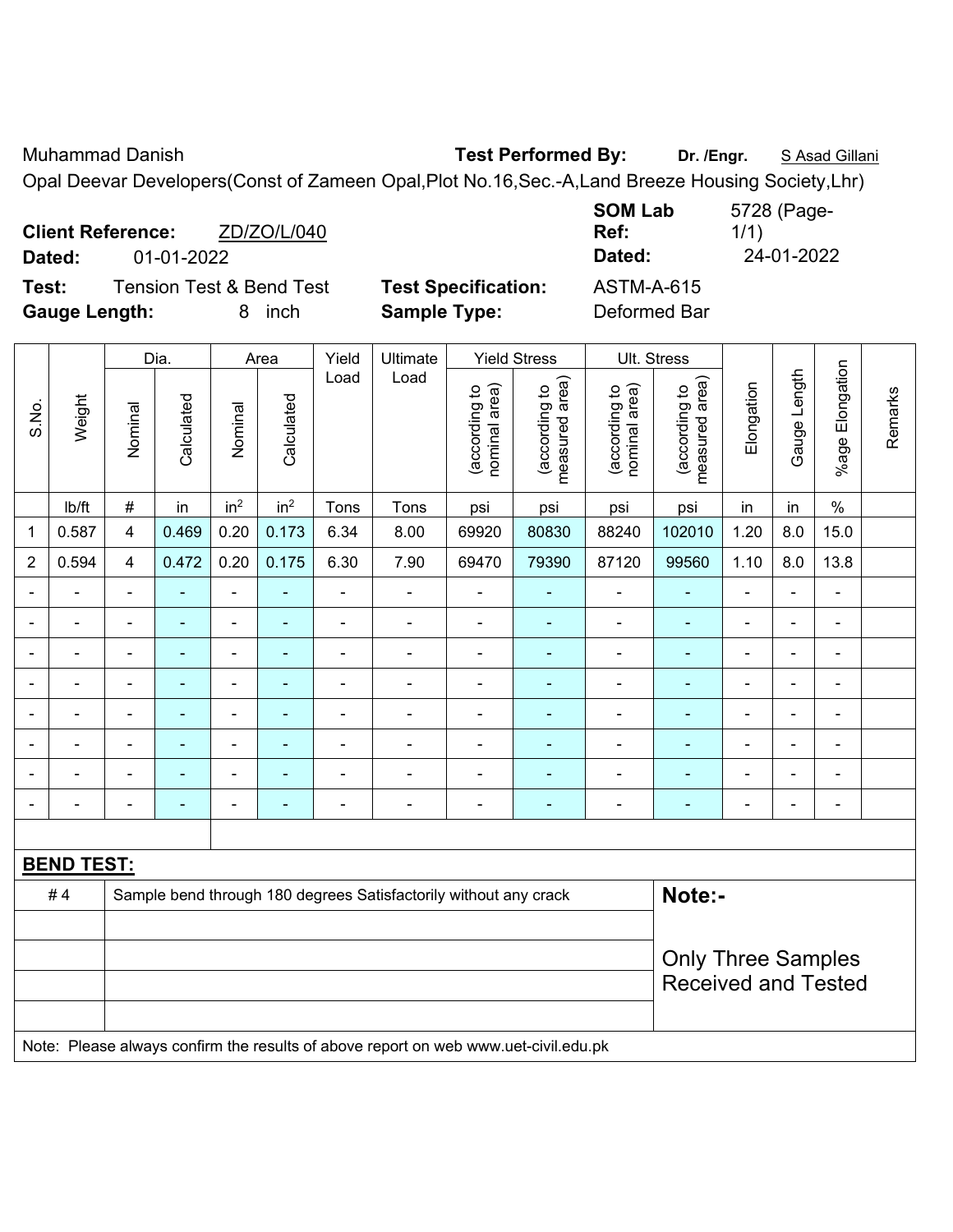Muhammad Danish **Test Performed By:** Dr. /Engr. **SAsad Gillani** 

Opal Deevar Developers(Const of Zameen Opal,Plot No.16,Sec.-A,Land Breeze Housing Society,Lhr)

|                                              |             |                            | <b>SOM Lab</b>    | 5728 (Page- |
|----------------------------------------------|-------------|----------------------------|-------------------|-------------|
| <b>Client Reference:</b>                     | ZD/ZO/L/040 |                            | Ref:              | 1/1)        |
| 01-01-2022<br>Dated:                         |             |                            | Dated:            | 24-01-2022  |
| <b>Tension Test &amp; Bend Test</b><br>Test: |             | <b>Test Specification:</b> | <b>ASTM-A-615</b> |             |
| <b>Gauge Length:</b>                         | inch<br>8   | <b>Sample Type:</b>        | Deformed Bar      |             |

|                          |                   |                                                                            | Dia.<br>Yield<br>Ultimate<br><b>Yield Stress</b><br>Ult. Stress<br>Area |                          |                 |                |                                                                                     |                                |                                 |                                |                                 |                |                          |                      |         |
|--------------------------|-------------------|----------------------------------------------------------------------------|-------------------------------------------------------------------------|--------------------------|-----------------|----------------|-------------------------------------------------------------------------------------|--------------------------------|---------------------------------|--------------------------------|---------------------------------|----------------|--------------------------|----------------------|---------|
| S.No.                    | Weight            | Nominal                                                                    | Calculated                                                              | Nominal                  | Calculated      | Load           | Load                                                                                | nominal area)<br>(according to | (according to<br>measured area) | nominal area)<br>(according to | (according to<br>measured area) | Elongation     | Gauge Length             | Elongation<br>%age l | Remarks |
|                          | Ib/ft             | $\#$                                                                       | in                                                                      | in <sup>2</sup>          | in <sup>2</sup> | Tons           | Tons                                                                                | psi                            | psi                             | psi                            | psi                             | in             | in                       | $\%$                 |         |
| 1                        | 0.587             | $\overline{\mathbf{4}}$                                                    | 0.469                                                                   | 0.20                     | 0.173           | 6.34           | 8.00                                                                                | 69920                          | 80830                           | 88240                          | 102010                          | 1.20           | 8.0                      | 15.0                 |         |
| $\overline{2}$           | 0.594             | $\overline{\mathbf{4}}$                                                    | 0.472                                                                   | 0.20                     | 0.175           | 6.30           | 7.90                                                                                | 69470                          | 79390                           | 87120                          | 99560                           | 1.10           | 8.0                      | 13.8                 |         |
| $\blacksquare$           | ä,                | $\blacksquare$                                                             | $\blacksquare$                                                          | $\overline{\phantom{0}}$ | ÷,              | $\blacksquare$ | $\blacksquare$                                                                      | $\overline{\phantom{a}}$       | $\blacksquare$                  | $\overline{\phantom{a}}$       | $\blacksquare$                  | $\blacksquare$ | $\blacksquare$           | $\frac{1}{2}$        |         |
| $\blacksquare$           | $\blacksquare$    | $\blacksquare$                                                             | $\blacksquare$                                                          | $\blacksquare$           | $\blacksquare$  | $\blacksquare$ | $\blacksquare$                                                                      | $\blacksquare$                 | $\blacksquare$                  | $\blacksquare$                 | $\blacksquare$                  | $\blacksquare$ | $\blacksquare$           | $\blacksquare$       |         |
| $\overline{\phantom{0}}$ | ä,                | $\blacksquare$                                                             | $\blacksquare$                                                          | $\blacksquare$           | $\blacksquare$  | $\blacksquare$ | ä,                                                                                  | $\blacksquare$                 | $\blacksquare$                  | $\blacksquare$                 | $\blacksquare$                  |                | ä,                       | $\blacksquare$       |         |
|                          | $\blacksquare$    | $\blacksquare$                                                             | $\blacksquare$                                                          | $\blacksquare$           | ٠               | $\blacksquare$ | $\blacksquare$                                                                      | ä,                             | $\blacksquare$                  | $\blacksquare$                 | $\blacksquare$                  |                | ٠                        | $\blacksquare$       |         |
|                          |                   |                                                                            | $\blacksquare$                                                          | $\blacksquare$           | ٠               |                | ÷                                                                                   | $\blacksquare$                 | $\blacksquare$                  | $\blacksquare$                 | ÷                               |                |                          | $\blacksquare$       |         |
|                          |                   |                                                                            |                                                                         | $\blacksquare$           |                 |                |                                                                                     |                                |                                 |                                |                                 |                |                          | $\blacksquare$       |         |
|                          | $\overline{a}$    |                                                                            | $\blacksquare$                                                          | $\overline{\phantom{0}}$ |                 |                | $\blacksquare$                                                                      | $\blacksquare$                 | $\blacksquare$                  | -                              | $\blacksquare$                  |                |                          | $\blacksquare$       |         |
| $\blacksquare$           |                   | $\blacksquare$                                                             | $\blacksquare$                                                          | $\blacksquare$           | $\blacksquare$  | ÷              | ä,                                                                                  | $\overline{\phantom{a}}$       | $\blacksquare$                  | ÷                              | $\blacksquare$                  | $\blacksquare$ | $\overline{\phantom{0}}$ | $\blacksquare$       |         |
|                          |                   |                                                                            |                                                                         |                          |                 |                |                                                                                     |                                |                                 |                                |                                 |                |                          |                      |         |
|                          | <b>BEND TEST:</b> |                                                                            |                                                                         |                          |                 |                |                                                                                     |                                |                                 |                                |                                 |                |                          |                      |         |
|                          | #4                | Note:-<br>Sample bend through 180 degrees Satisfactorily without any crack |                                                                         |                          |                 |                |                                                                                     |                                |                                 |                                |                                 |                |                          |                      |         |
|                          |                   |                                                                            |                                                                         |                          |                 |                |                                                                                     |                                |                                 |                                |                                 |                |                          |                      |         |
|                          |                   |                                                                            |                                                                         |                          |                 |                |                                                                                     |                                |                                 |                                | <b>Only Three Samples</b>       |                |                          |                      |         |
|                          |                   |                                                                            |                                                                         |                          |                 |                |                                                                                     |                                |                                 | <b>Received and Tested</b>     |                                 |                |                          |                      |         |
|                          |                   |                                                                            |                                                                         |                          |                 |                |                                                                                     |                                |                                 |                                |                                 |                |                          |                      |         |
|                          |                   |                                                                            |                                                                         |                          |                 |                | Note: Please always confirm the results of above report on web www.uet-civil.edu.pk |                                |                                 |                                |                                 |                |                          |                      |         |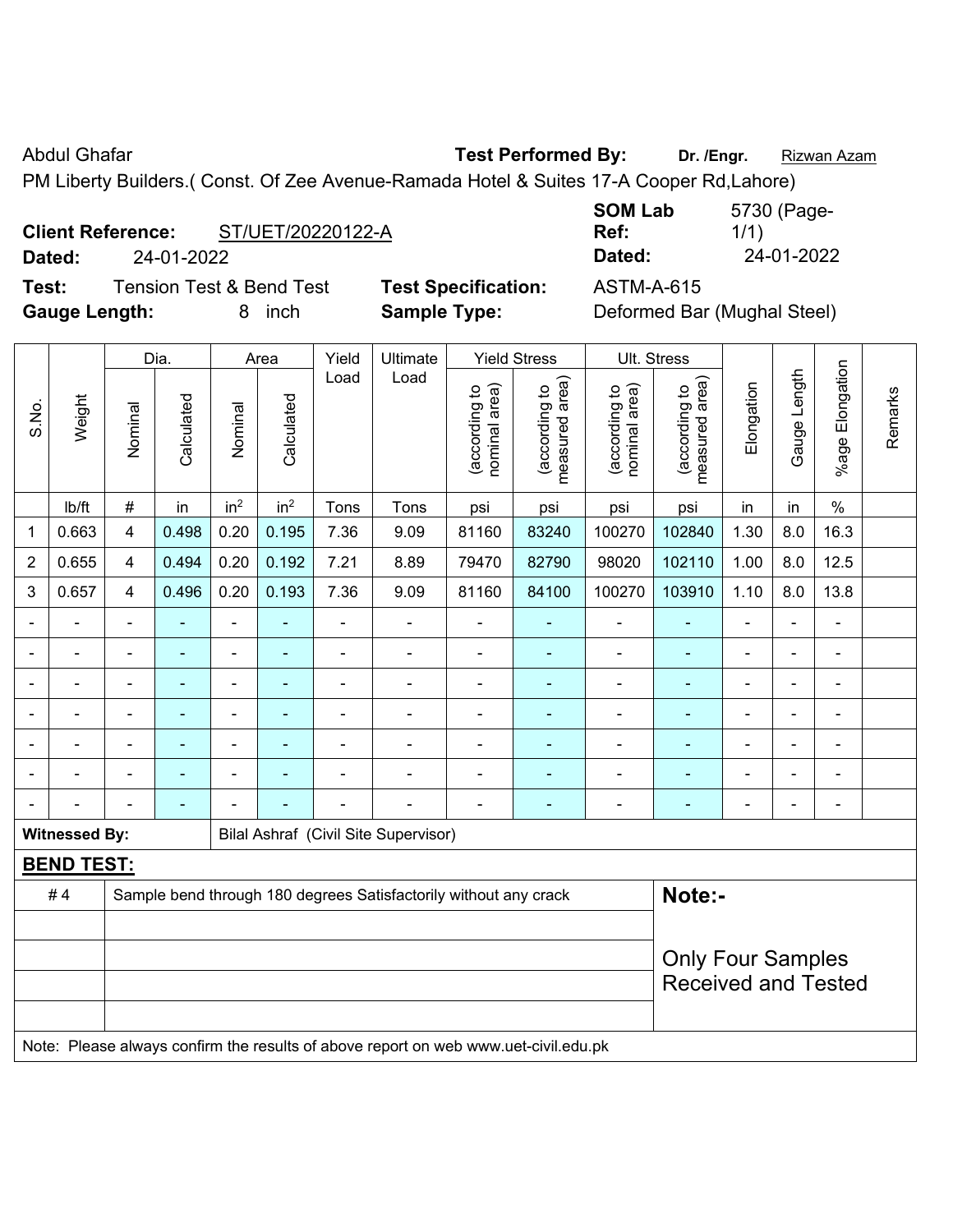Abdul Ghafar **Test Performed By:** Dr. /Engr. **Rizwan Azam** 

PM Liberty Builders.( Const. Of Zee Avenue-Ramada Hotel & Suites 17-A Cooper Rd,Lahore)

### **Client Reference:** ST/UET/20220122-A

**Dated:** 24-01-2022 **Dated:** 24-01-2022

**Test:** Tension Test & Bend Test **Test Specification:** ASTM-A-615 **Gauge Length:** 8 inch **Sample Type:** Deformed Bar (Mughal Steel)

| <b>SOM Lab</b> | 5730 (Page- |
|----------------|-------------|
| Ref:           | 1/1)        |
| Dated:         | 24-01-2022  |

|                                                              |                                                                                     |                                                                            | Dia.           |                 | Area            | Yield | Ultimate       |                                | <b>Yield Stress</b>             |                                | Ult. Stress                     |                          |                |                 |         |
|--------------------------------------------------------------|-------------------------------------------------------------------------------------|----------------------------------------------------------------------------|----------------|-----------------|-----------------|-------|----------------|--------------------------------|---------------------------------|--------------------------------|---------------------------------|--------------------------|----------------|-----------------|---------|
| S.No.                                                        | Weight                                                                              | Nominal                                                                    | Calculated     | Nominal         | Calculated      | Load  | Load           | nominal area)<br>(according to | measured area)<br>(according to | nominal area)<br>(according to | measured area)<br>(according to | Elongation               | Gauge Length   | %age Elongation | Remarks |
|                                                              | Ib/ft                                                                               | $\#$                                                                       | in             | in <sup>2</sup> | in <sup>2</sup> | Tons  | Tons           | psi                            | psi                             | psi                            | psi                             | in                       | in             | $\%$            |         |
| $\mathbf 1$                                                  | 0.663                                                                               | $\overline{\mathbf{4}}$                                                    | 0.498          | 0.20            | 0.195           | 7.36  | 9.09           | 81160                          | 83240                           | 100270                         | 102840                          | 1.30                     | 8.0            | 16.3            |         |
| $\overline{2}$                                               | 0.655                                                                               | 4                                                                          | 0.494          | 0.20            | 0.192           | 7.21  | 8.89           | 79470                          | 82790                           | 98020                          | 102110                          | 1.00                     | 8.0            | 12.5            |         |
| 3                                                            | 0.657                                                                               | $\overline{4}$                                                             | 0.496          | 0.20            | 0.193           | 7.36  | 9.09           | 81160                          | 84100                           | 100270                         | 103910                          | 1.10                     | 8.0            | 13.8            |         |
| $\overline{\phantom{0}}$                                     |                                                                                     |                                                                            | -              | ÷,              | ÷,              | ÷     | $\blacksquare$ | $\blacksquare$                 | $\blacksquare$                  | L,                             | $\overline{\phantom{a}}$        | ۰                        | $\blacksquare$ | $\blacksquare$  |         |
| $\overline{\phantom{0}}$                                     |                                                                                     | $\blacksquare$                                                             | $\blacksquare$ | ÷               | ä,              | ÷     | $\blacksquare$ | $\overline{a}$                 | ۰                               | ä,                             | $\overline{\phantom{a}}$        | $\overline{\phantom{a}}$ | $\blacksquare$ | $\blacksquare$  |         |
|                                                              |                                                                                     | $\blacksquare$                                                             | ٠              | ۰               | ٠               | ÷     | $\blacksquare$ | $\blacksquare$                 | $\blacksquare$                  | ä,                             | $\overline{\phantom{a}}$        | ÷,                       | $\blacksquare$ | $\blacksquare$  |         |
| $\blacksquare$                                               |                                                                                     | $\blacksquare$                                                             | $\blacksquare$ | $\blacksquare$  | ä,              | ÷     | $\blacksquare$ | $\blacksquare$                 | ÷                               | L,                             | $\blacksquare$                  | $\blacksquare$           | $\blacksquare$ | ä,              |         |
|                                                              |                                                                                     | $\blacksquare$                                                             | ä,             | $\blacksquare$  | ۰               | ÷     |                | $\blacksquare$                 | ä,                              | -                              | $\overline{\phantom{a}}$        | $\blacksquare$           | $\blacksquare$ |                 |         |
|                                                              |                                                                                     |                                                                            |                |                 |                 |       |                | $\blacksquare$                 | $\blacksquare$                  | L                              | $\blacksquare$                  | $\blacksquare$           |                |                 |         |
|                                                              |                                                                                     |                                                                            | -              |                 |                 |       |                | $\blacksquare$                 | -                               |                                | $\blacksquare$                  | $\overline{a}$           |                | $\blacksquare$  |         |
| <b>Witnessed By:</b><br>Bilal Ashraf (Civil Site Supervisor) |                                                                                     |                                                                            |                |                 |                 |       |                |                                |                                 |                                |                                 |                          |                |                 |         |
| <b>BEND TEST:</b>                                            |                                                                                     |                                                                            |                |                 |                 |       |                |                                |                                 |                                |                                 |                          |                |                 |         |
|                                                              | #4                                                                                  | Note:-<br>Sample bend through 180 degrees Satisfactorily without any crack |                |                 |                 |       |                |                                |                                 |                                |                                 |                          |                |                 |         |
|                                                              |                                                                                     |                                                                            |                |                 |                 |       |                |                                |                                 |                                |                                 |                          |                |                 |         |
|                                                              |                                                                                     |                                                                            |                |                 |                 |       |                |                                |                                 |                                | <b>Only Four Samples</b>        |                          |                |                 |         |
|                                                              |                                                                                     |                                                                            |                |                 |                 |       |                |                                |                                 |                                | <b>Received and Tested</b>      |                          |                |                 |         |
|                                                              |                                                                                     |                                                                            |                |                 |                 |       |                |                                |                                 |                                |                                 |                          |                |                 |         |
|                                                              | Note: Please always confirm the results of above report on web www.uet-civil.edu.pk |                                                                            |                |                 |                 |       |                |                                |                                 |                                |                                 |                          |                |                 |         |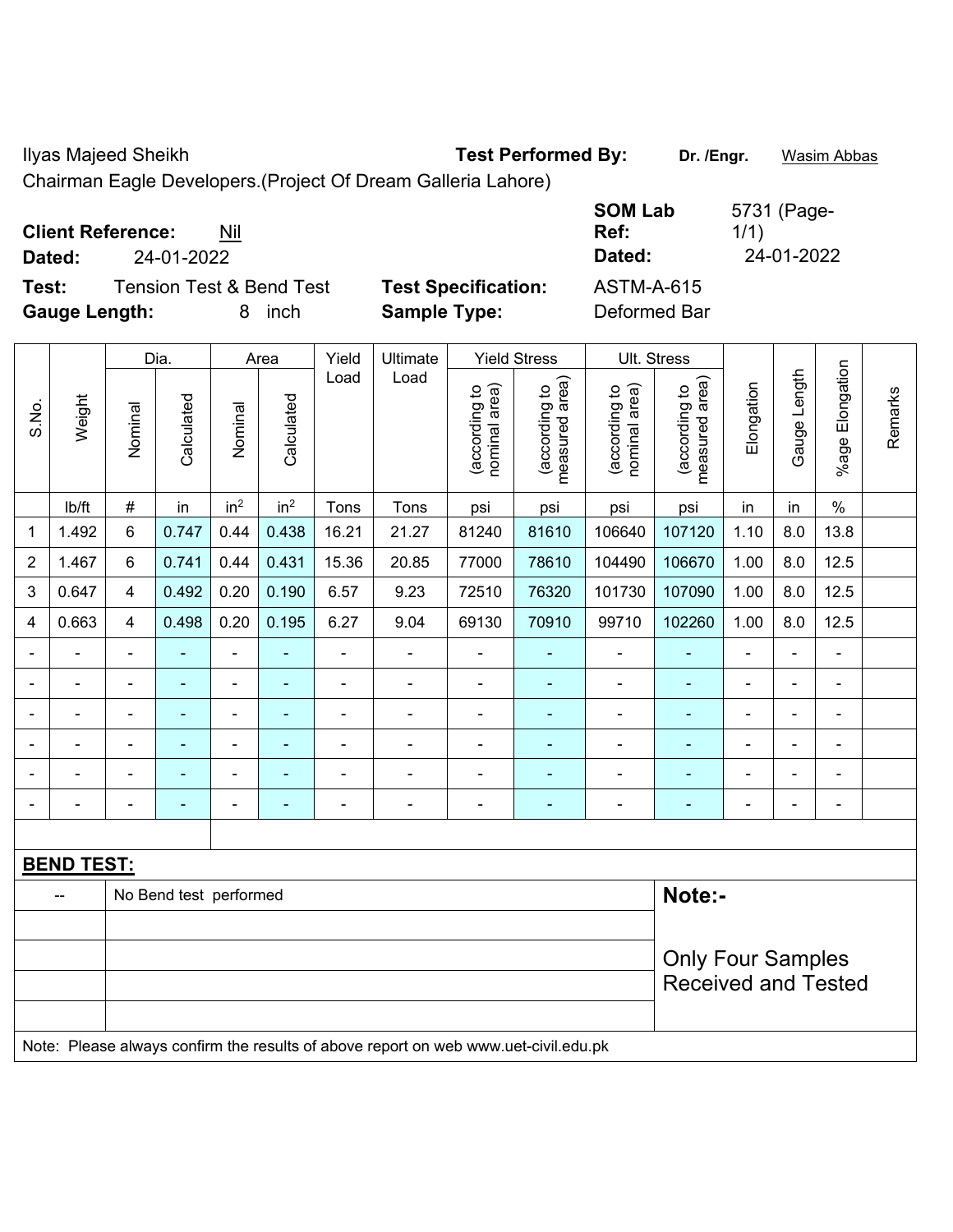Ilyas Majeed Sheikh **Test Performed By: Dr. /Engr.** Wasim Abbas

Chairman Eagle Developers.(Project Of Dream Galleria Lahore)

| <b>Client Reference:</b><br>Nil              |                            | <b>SOM Lab</b><br>Ref: | 5731 (Page-<br>1/1) |
|----------------------------------------------|----------------------------|------------------------|---------------------|
| 24-01-2022<br>Dated:                         |                            | Dated:                 | 24-01-2022          |
| <b>Tension Test &amp; Bend Test</b><br>Test: | <b>Test Specification:</b> | <b>ASTM-A-615</b>      |                     |
| <b>Gauge Length:</b><br>inch                 | <b>Sample Type:</b>        | Deformed Bar           |                     |

|                |                                                                                     |                                  | Dia.                     |                 | Area                     | Yield          | Ultimate                 |                                | <b>Yield Stress</b>             |                                | Ult. Stress                     |                |                |                          |         |
|----------------|-------------------------------------------------------------------------------------|----------------------------------|--------------------------|-----------------|--------------------------|----------------|--------------------------|--------------------------------|---------------------------------|--------------------------------|---------------------------------|----------------|----------------|--------------------------|---------|
| S.No.          | Weight                                                                              | Nominal                          | Calculated               | Nominal         | Calculated               | Load           | Load                     | nominal area)<br>(according to | (according to<br>measured area) | nominal area)<br>(according to | measured area)<br>(according to | Elongation     | Gauge Length   | %age Elongation          | Remarks |
|                | lb/ft                                                                               | $\#$                             | in                       | in <sup>2</sup> | in <sup>2</sup>          | Tons           | Tons                     | psi                            | psi                             | psi                            | psi                             | in             | in             | $\%$                     |         |
| 1              | 1.492                                                                               | 6                                | 0.747                    | 0.44            | 0.438                    | 16.21          | 21.27                    | 81240                          | 81610                           | 106640                         | 107120                          | 1.10           | 8.0            | 13.8                     |         |
| $\overline{2}$ | 1.467                                                                               | 6                                | 0.741                    | 0.44            | 0.431                    | 15.36          | 20.85                    | 77000                          | 78610                           | 104490                         | 106670                          | 1.00           | 8.0            | 12.5                     |         |
| 3              | 0.647                                                                               | 4                                | 0.492                    | 0.20            | 0.190                    | 6.57           | 9.23                     | 72510                          | 76320                           | 101730                         | 107090                          | 1.00           | 8.0            | 12.5                     |         |
| 4              | 0.663                                                                               | 4                                | 0.498                    | 0.20            | 0.195                    | 6.27           | 9.04                     | 69130                          | 70910                           | 99710                          | 102260                          | 1.00           | 8.0            | 12.5                     |         |
|                | ä,                                                                                  | $\blacksquare$                   | ä,                       | $\blacksquare$  | ä,                       | ä,             | $\blacksquare$           | $\blacksquare$                 | $\blacksquare$                  | ÷,                             | ÷,                              | $\blacksquare$ | $\blacksquare$ | ä,                       |         |
|                | ä,                                                                                  | $\blacksquare$                   | $\blacksquare$           | $\blacksquare$  | $\blacksquare$           | $\blacksquare$ | $\blacksquare$           | $\blacksquare$                 | $\blacksquare$                  | $\blacksquare$                 | ÷                               | $\blacksquare$ | ÷,             | $\blacksquare$           |         |
|                | $\blacksquare$                                                                      | ä,                               | $\blacksquare$           | ÷,              | $\overline{\phantom{a}}$ | Ē,             | $\blacksquare$           | $\blacksquare$                 | $\blacksquare$                  | ÷                              | ٠                               |                | ä,             | $\blacksquare$           |         |
|                |                                                                                     |                                  | $\blacksquare$           | ÷               | $\blacksquare$           |                |                          |                                | $\overline{\phantom{a}}$        | $\blacksquare$                 |                                 |                |                | $\blacksquare$           |         |
|                |                                                                                     |                                  |                          | Ē,              |                          |                |                          |                                |                                 |                                |                                 |                |                | Ē,                       |         |
| $\blacksquare$ | $\blacksquare$                                                                      | $\blacksquare$                   | $\overline{\phantom{0}}$ | ۰               | ٠                        | Ē,             | $\overline{\phantom{a}}$ | $\blacksquare$                 | $\blacksquare$                  | $\blacksquare$                 | ٠                               | ٠              | ÷              | $\overline{\phantom{a}}$ |         |
|                |                                                                                     |                                  |                          |                 |                          |                |                          |                                |                                 |                                |                                 |                |                |                          |         |
|                | <b>BEND TEST:</b>                                                                   |                                  |                          |                 |                          |                |                          |                                |                                 |                                |                                 |                |                |                          |         |
|                |                                                                                     | Note:-<br>No Bend test performed |                          |                 |                          |                |                          |                                |                                 |                                |                                 |                |                |                          |         |
|                |                                                                                     |                                  |                          |                 |                          |                |                          |                                |                                 |                                |                                 |                |                |                          |         |
|                |                                                                                     |                                  |                          |                 |                          |                |                          |                                |                                 |                                | <b>Only Four Samples</b>        |                |                |                          |         |
|                |                                                                                     |                                  |                          |                 |                          |                |                          |                                |                                 |                                | <b>Received and Tested</b>      |                |                |                          |         |
|                |                                                                                     |                                  |                          |                 |                          |                |                          |                                |                                 |                                |                                 |                |                |                          |         |
|                | Note: Please always confirm the results of above report on web www.uet-civil.edu.pk |                                  |                          |                 |                          |                |                          |                                |                                 |                                |                                 |                |                |                          |         |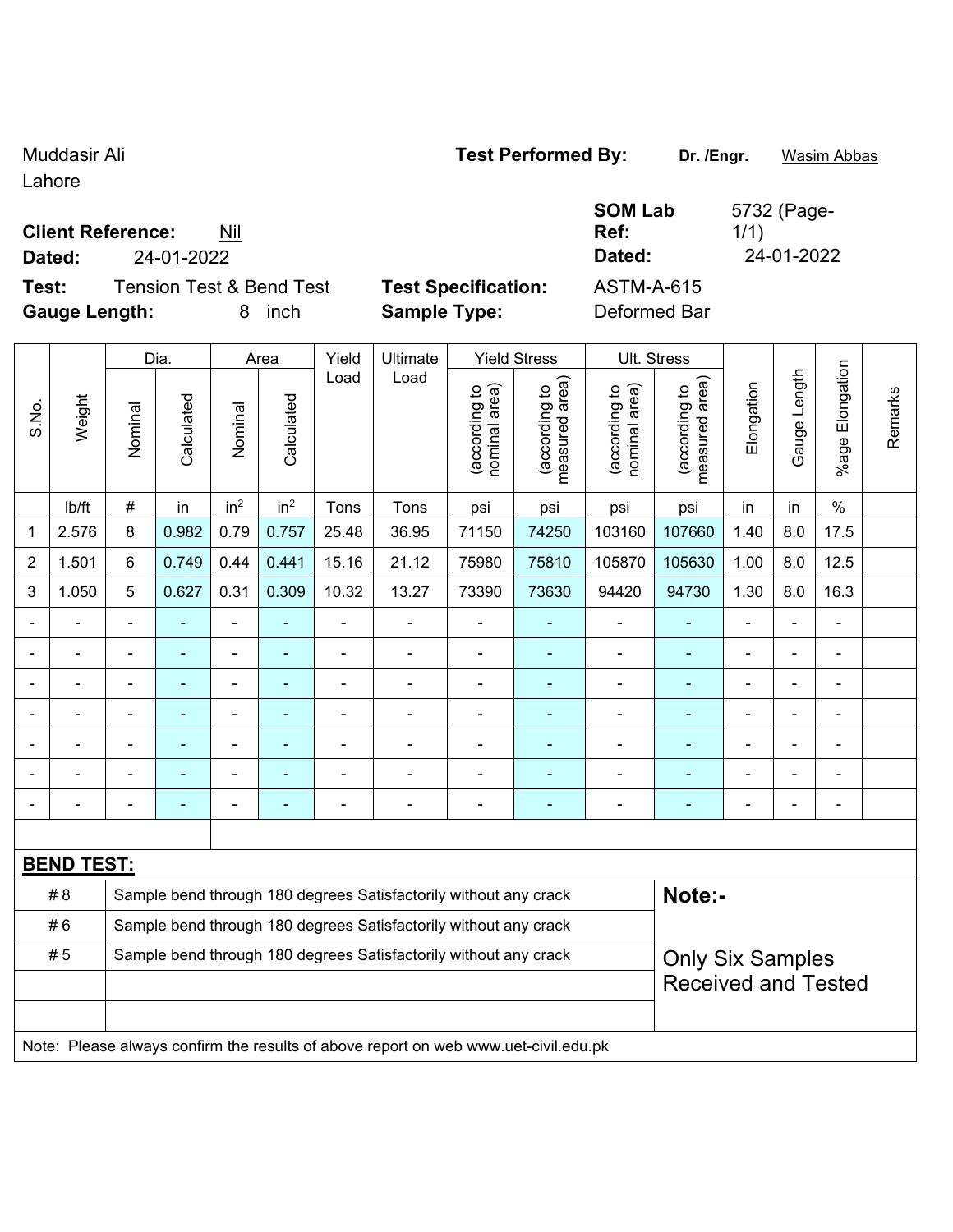Lahore

# **Client Reference:** Nil

**Test:** Tension Test & Bend Test **Test Specification:** ASTM-A-615 **Gauge Length:** 8 inch **Sample Type:** Deformed Bar

| Dated: | 24-01-2022                          |                            | Dated:            | 24-01-2022 |
|--------|-------------------------------------|----------------------------|-------------------|------------|
| Test:  | <b>Tension Test &amp; Bend Test</b> | <b>Test Specification:</b> | <b>ASTM-A-615</b> |            |

**SOM Lab Ref:** 

Dia. | Area | Yield | Ultimate | Yield Stress | Ult. Stress %age Elongation %age Elongation Gauge Length Load Load Gauge Length (according to<br>measured area) measured area) (according to<br>measured area) measured area) (according to<br>nominal area) (according to<br>nominal area) **Elongation** nominal area) nominal area) Elongation (according to (according to (according to (according to Remarks Remarks **Calculated Calculated** Weight Calculated Calculated S.No. Nominal Nominal Vominal Vominal <code>|b/ft | # |</code> in <code>|</code> in $^2$  | in $^2$  | Tons | Tons | psi | psi | psi | psi | in | in | % 1 | 2.576 | 8 | 0.982 | 0.79 | 0.757 | 25.48 | 36.95 | 71150 | 74250 | 103160 | 107660 | 1.40 | 8.0 | 17.5 2 | 1.501 | 6 | 0.749 | 0.44 | 0.441 | 15.16 | 21.12 | 75980 | 75810 | 105870 | 105630 | 1.00 | 8.0 | 12.5 3 | 1.050 | 5 | 0.627 | 0.31 | 0.309 | 10.32 | 13.27 | 73390 | 73630 | 94420 | 94730 | 1.30 | 8.0 | 16.3 - - - - - - - - - - - - - - - - - - - - - - - - - - - - - - - - - - - - - - - - - - - - - - - - - - - - - - - - - - - - - - - - - - - - - - - - - - - - - - - - - - - - - - - - - - - - - - - - - - - - - - - - - **BEND TEST:**  # 8 Sample bend through 180 degrees Satisfactorily without any crack **Note:**-#6 Sample bend through 180 degrees Satisfactorily without any crack #5 | Sample bend through 180 degrees Satisfactorily without any crack Only Six Samples Received and Tested Note: Please always confirm the results of above report on web www.uet-civil.edu.pk

Muddasir Ali **Muddasir Ali Test Performed By:** Dr. /Engr. Wasim Abbas

5732 (Page-

1/1)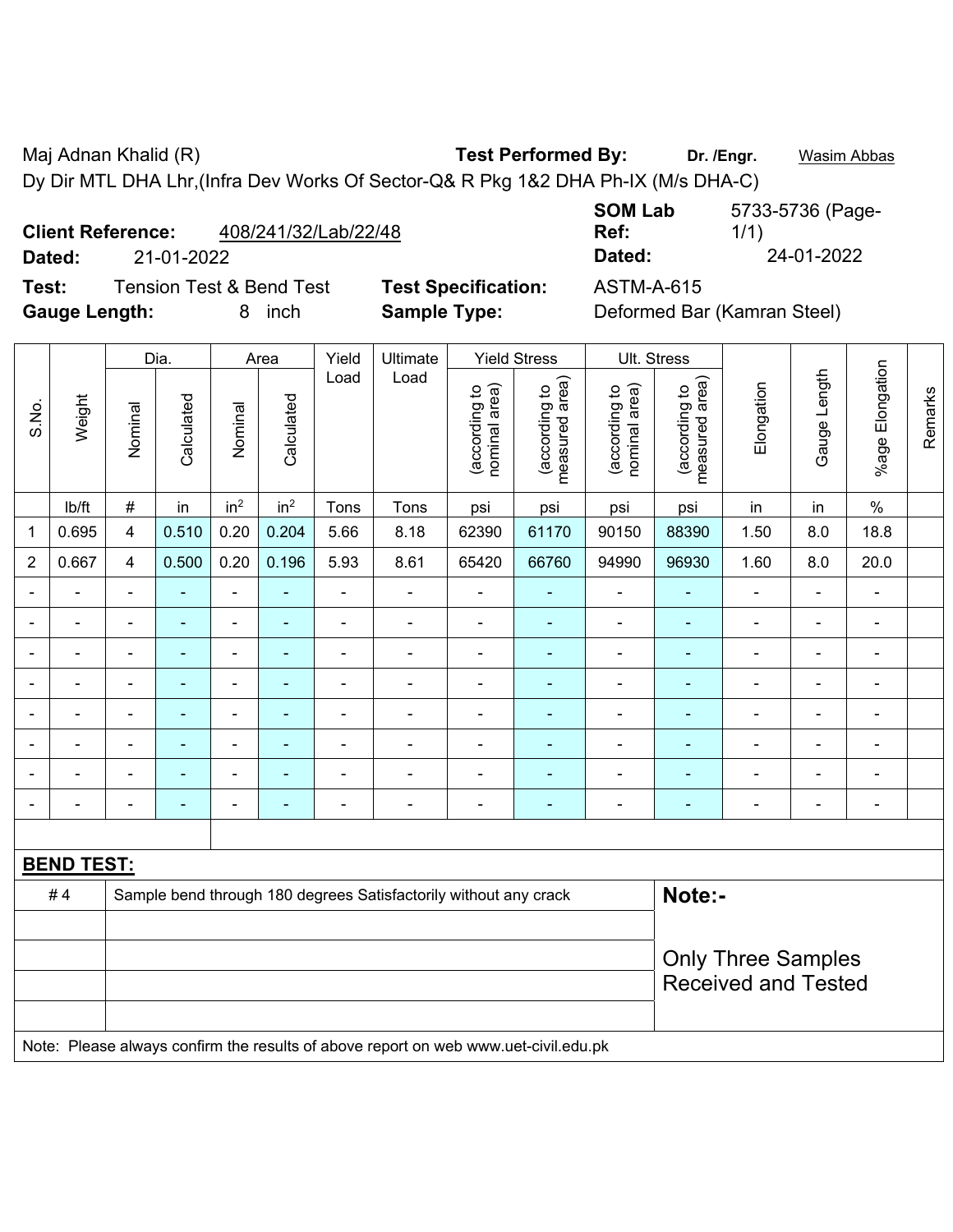Maj Adnan Khalid (R) **Test Performed By: Dr. /Engr.** Wasim Abbas Dy Dir MTL DHA Lhr,(Infra Dev Works Of Sector-Q& R Pkg 1&2 DHA Ph-IX (M/s DHA-C)

| 408/241/32/Lab/22/48<br><b>Client Reference:</b> |
|--------------------------------------------------|
|--------------------------------------------------|

**Test:** Tension Test & Bend Test **Test Specification:** ASTM-A-615 **Gauge Length:** 8 inch **Sample Type:** Deformed Bar (Kamran Steel)

**SOM Lab Ref:**  5733-5736 (Page-1/1) **Dated:** 21-01-2022 **Dated:** 24-01-2022

|                          |                                                                                     |                                                                            | Dia.           |                          | Area            | Yield          | Ultimate       |                                | <b>Yield Stress</b>             | Ult. Stress                    |                                                                      |                            |                |                 |         |
|--------------------------|-------------------------------------------------------------------------------------|----------------------------------------------------------------------------|----------------|--------------------------|-----------------|----------------|----------------|--------------------------------|---------------------------------|--------------------------------|----------------------------------------------------------------------|----------------------------|----------------|-----------------|---------|
| S.No.                    | Weight                                                                              | Nominal                                                                    | Calculated     | Nominal                  | Calculated      | Load           | Load           | nominal area)<br>(according to | measured area)<br>(according to | nominal area)<br>(according to | measured area)<br>(according to                                      | Elongation                 | Gauge Length   | %age Elongation | Remarks |
|                          | lb/ft                                                                               | $\#$                                                                       | in             | in <sup>2</sup>          | in <sup>2</sup> | Tons           | Tons           | psi                            | psi                             | psi                            | psi                                                                  | in                         | in             | $\%$            |         |
| 1                        | 0.695                                                                               | $\overline{\mathbf{4}}$                                                    | 0.510          | 0.20                     | 0.204           | 5.66           | 8.18           | 62390                          | 61170                           | 90150                          | 88390                                                                | 1.50                       | 8.0            | 18.8            |         |
| $\overline{2}$           | 0.667                                                                               | $\overline{4}$                                                             | 0.500          | 0.20                     | 0.196           | 5.93           | 8.61           | 65420                          | 66760                           | 94990                          | 96930                                                                | 1.60                       | 8.0            | 20.0            |         |
|                          |                                                                                     |                                                                            |                |                          |                 |                | $\blacksquare$ |                                | ä,                              |                                |                                                                      |                            |                | $\blacksquare$  |         |
|                          |                                                                                     |                                                                            |                |                          |                 | ä,             | $\blacksquare$ | ä,                             | ÷,                              | $\overline{a}$                 | $\blacksquare$                                                       | $\blacksquare$             |                | $\blacksquare$  |         |
| $\overline{\phantom{0}}$ |                                                                                     | $\blacksquare$                                                             | $\blacksquare$ | $\overline{\phantom{0}}$ |                 | $\blacksquare$ |                | $\blacksquare$                 | $\overline{\phantom{0}}$        |                                | $\blacksquare$                                                       | $\blacksquare$             | $\blacksquare$ | ۰               |         |
| $\blacksquare$           |                                                                                     | $\blacksquare$                                                             | $\blacksquare$ | $\blacksquare$           |                 | $\blacksquare$ | $\blacksquare$ | ä,                             | ٠                               | $\blacksquare$                 | $\blacksquare$                                                       | $\blacksquare$             | $\blacksquare$ | $\blacksquare$  |         |
| $\blacksquare$           | $\blacksquare$                                                                      | $\blacksquare$                                                             | $\blacksquare$ | $\overline{a}$           | $\blacksquare$  | $\blacksquare$ | $\blacksquare$ | $\blacksquare$                 | Ξ                               | $\overline{a}$                 | $\blacksquare$<br>$\blacksquare$<br>$\blacksquare$<br>$\blacksquare$ |                            |                |                 |         |
| $\blacksquare$           |                                                                                     | $\blacksquare$                                                             | $\blacksquare$ | $\blacksquare$           | ÷               | $\blacksquare$ | $\blacksquare$ | ä,                             | ٠                               | $\overline{\phantom{a}}$       | $\blacksquare$                                                       | $\blacksquare$             | $\blacksquare$ | $\blacksquare$  |         |
|                          |                                                                                     |                                                                            |                |                          |                 | $\blacksquare$ |                | $\blacksquare$                 | ۰                               |                                | $\blacksquare$<br>$\blacksquare$<br>$\blacksquare$                   |                            |                |                 |         |
|                          |                                                                                     |                                                                            |                |                          |                 |                |                |                                | ÷                               |                                |                                                                      |                            | $\blacksquare$ | ۰               |         |
|                          |                                                                                     |                                                                            |                |                          |                 |                |                |                                |                                 |                                |                                                                      |                            |                |                 |         |
|                          | <b>BEND TEST:</b>                                                                   |                                                                            |                |                          |                 |                |                |                                |                                 |                                |                                                                      |                            |                |                 |         |
|                          | #4                                                                                  | Note:-<br>Sample bend through 180 degrees Satisfactorily without any crack |                |                          |                 |                |                |                                |                                 |                                |                                                                      |                            |                |                 |         |
|                          |                                                                                     |                                                                            |                |                          |                 |                |                |                                |                                 |                                |                                                                      |                            |                |                 |         |
|                          |                                                                                     |                                                                            |                |                          |                 |                |                |                                |                                 |                                |                                                                      | <b>Only Three Samples</b>  |                |                 |         |
|                          |                                                                                     |                                                                            |                |                          |                 |                |                |                                |                                 |                                |                                                                      | <b>Received and Tested</b> |                |                 |         |
|                          |                                                                                     |                                                                            |                |                          |                 |                |                |                                |                                 |                                |                                                                      |                            |                |                 |         |
|                          | Note: Please always confirm the results of above report on web www.uet-civil.edu.pk |                                                                            |                |                          |                 |                |                |                                |                                 |                                |                                                                      |                            |                |                 |         |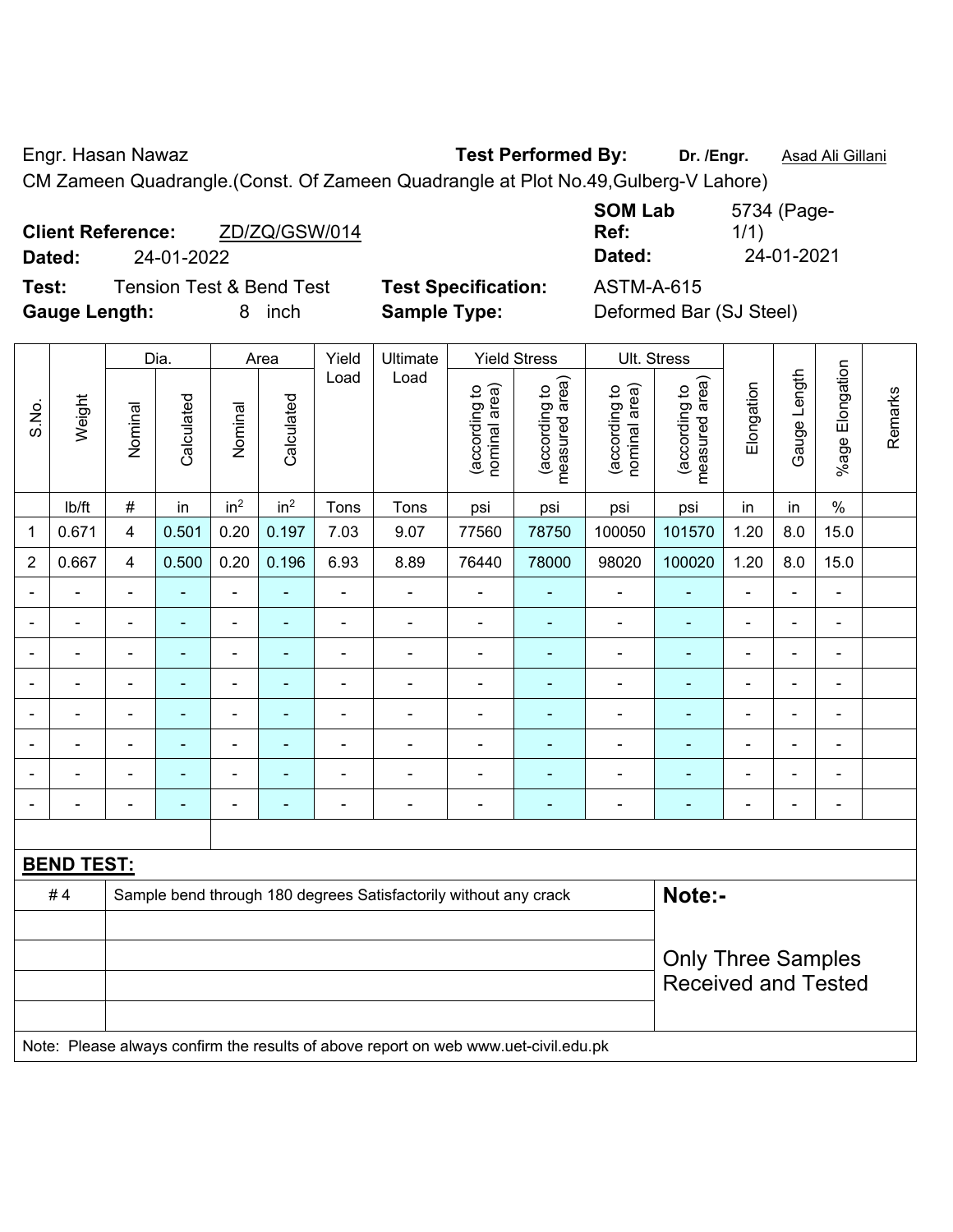$\top$ 

Engr. Hasan Nawaz **Test Performed By: Dr. /Engr.** Asad Ali Gillani

CM Zameen Quadrangle.(Const. Of Zameen Quadrangle at Plot No.49,Gulberg-V Lahore)

|        | <b>Client Reference:</b> | ZD/ZQ/GSW/014 |  |  |  |  |  |  |
|--------|--------------------------|---------------|--|--|--|--|--|--|
| Dated: | 24-01-2022               |               |  |  |  |  |  |  |
| _      |                          | .             |  |  |  |  |  |  |

**SOM Lab Ref:**  5734 (Page-1/1) **Dated:** 24-01-2022 **Dated:** 24-01-2021

 $\overline{\mathbf{T}}$ 

 $\overline{\mathbf{T}}$ 

**Test:** Tension Test & Bend Test **Test Specification:** ASTM-A-615 **Gauge Length:** 8 inch **Sample Type:** Deformed Bar (SJ Steel)

| <b>Test Specificatio</b> |
|--------------------------|
| <b>Sample Type:</b>      |

|                |                   |                | Dia.           |                              | Area            | Yield          | Ultimate                                                                            |                                | <b>Yield Stress</b>             | Ult. Stress                    |                                 |                           |              |                          |         |  |
|----------------|-------------------|----------------|----------------|------------------------------|-----------------|----------------|-------------------------------------------------------------------------------------|--------------------------------|---------------------------------|--------------------------------|---------------------------------|---------------------------|--------------|--------------------------|---------|--|
| S.No.          | Weight            | Nominal        | Calculated     | Nominal                      | Calculated      | Load           | Load                                                                                | nominal area)<br>(according to | (according to<br>measured area) | nominal area)<br>(according to | (according to<br>measured area) | Elongation                | Gauge Length | %age Elongation          | Remarks |  |
|                | lb/ft             | $\#$           | in             | in <sup>2</sup>              | in <sup>2</sup> | Tons           | Tons                                                                                | psi                            | psi                             | psi                            | psi                             | in                        | in           | $\%$                     |         |  |
| $\mathbf 1$    | 0.671             | 4              | 0.501          | 0.20                         | 0.197           | 7.03           | 9.07                                                                                | 77560                          | 78750                           | 100050                         | 101570                          | 1.20                      | 8.0          | 15.0                     |         |  |
| $\sqrt{2}$     | 0.667             | 4              | 0.500          | 0.20                         | 0.196           | 6.93           | 8.89                                                                                | 76440                          | 78000                           | 98020                          | 100020                          | 1.20                      | 8.0          | 15.0                     |         |  |
| $\blacksquare$ | ÷                 | $\blacksquare$ | $\blacksquare$ | $\frac{1}{2}$                | $\blacksquare$  | $\blacksquare$ | $\qquad \qquad \blacksquare$                                                        | $\blacksquare$                 | $\blacksquare$                  | ÷                              | ٠                               | ÷,                        | L,           | $\blacksquare$           |         |  |
|                |                   | ä,             | $\blacksquare$ | ÷,                           | $\blacksquare$  | ä,             | $\blacksquare$                                                                      | $\frac{1}{2}$                  | $\blacksquare$                  | ÷,                             | ۰                               | -                         | ÷            | $\blacksquare$           |         |  |
|                |                   |                | $\blacksquare$ | $\blacksquare$               | $\blacksquare$  | $\blacksquare$ | $\blacksquare$                                                                      | ä,                             | ä,                              | $\blacksquare$                 | ٠                               |                           |              | $\blacksquare$           |         |  |
|                |                   |                |                |                              |                 |                | ۰                                                                                   | $\overline{\phantom{0}}$       | $\blacksquare$                  |                                |                                 |                           |              | $\blacksquare$           |         |  |
|                |                   | $\blacksquare$ |                | $\blacksquare$               |                 | $\blacksquare$ | $\blacksquare$                                                                      | $\blacksquare$                 | $\blacksquare$                  | $\blacksquare$                 | ۰                               |                           |              | $\blacksquare$           |         |  |
|                |                   | ä,             | $\blacksquare$ | $\qquad \qquad \blacksquare$ | ۰               | $\blacksquare$ | ä,                                                                                  | ä,                             | ä,                              | $\blacksquare$                 | ۰                               | $\overline{\phantom{a}}$  | ä,           | ä,                       |         |  |
|                |                   |                |                | $\blacksquare$               |                 | $\blacksquare$ | ÷                                                                                   | ÷                              | $\blacksquare$                  | $\blacksquare$                 | ٠                               |                           | ÷            | $\blacksquare$           |         |  |
|                | $\blacksquare$    | $\blacksquare$ | $\blacksquare$ | $\blacksquare$               | $\blacksquare$  | $\blacksquare$ | $\qquad \qquad \blacksquare$                                                        | $\blacksquare$                 | $\blacksquare$                  | $\blacksquare$                 | ۰                               | ٠                         | ÷            | $\overline{\phantom{a}}$ |         |  |
|                |                   |                |                |                              |                 |                |                                                                                     |                                |                                 |                                |                                 |                           |              |                          |         |  |
|                | <b>BEND TEST:</b> |                |                |                              |                 |                |                                                                                     |                                |                                 |                                |                                 |                           |              |                          |         |  |
|                | #4                |                |                |                              |                 |                | Sample bend through 180 degrees Satisfactorily without any crack                    |                                |                                 |                                | Note:-                          |                           |              |                          |         |  |
|                |                   |                |                |                              |                 |                |                                                                                     |                                |                                 |                                |                                 |                           |              |                          |         |  |
|                |                   |                |                |                              |                 |                |                                                                                     |                                |                                 |                                |                                 | <b>Only Three Samples</b> |              |                          |         |  |
|                |                   |                |                |                              |                 |                |                                                                                     |                                |                                 |                                | <b>Received and Tested</b>      |                           |              |                          |         |  |
|                |                   |                |                |                              |                 |                |                                                                                     |                                |                                 |                                |                                 |                           |              |                          |         |  |
|                |                   |                |                |                              |                 |                | Note: Please always confirm the results of above report on web www.uet-civil.edu.pk |                                |                                 |                                |                                 |                           |              |                          |         |  |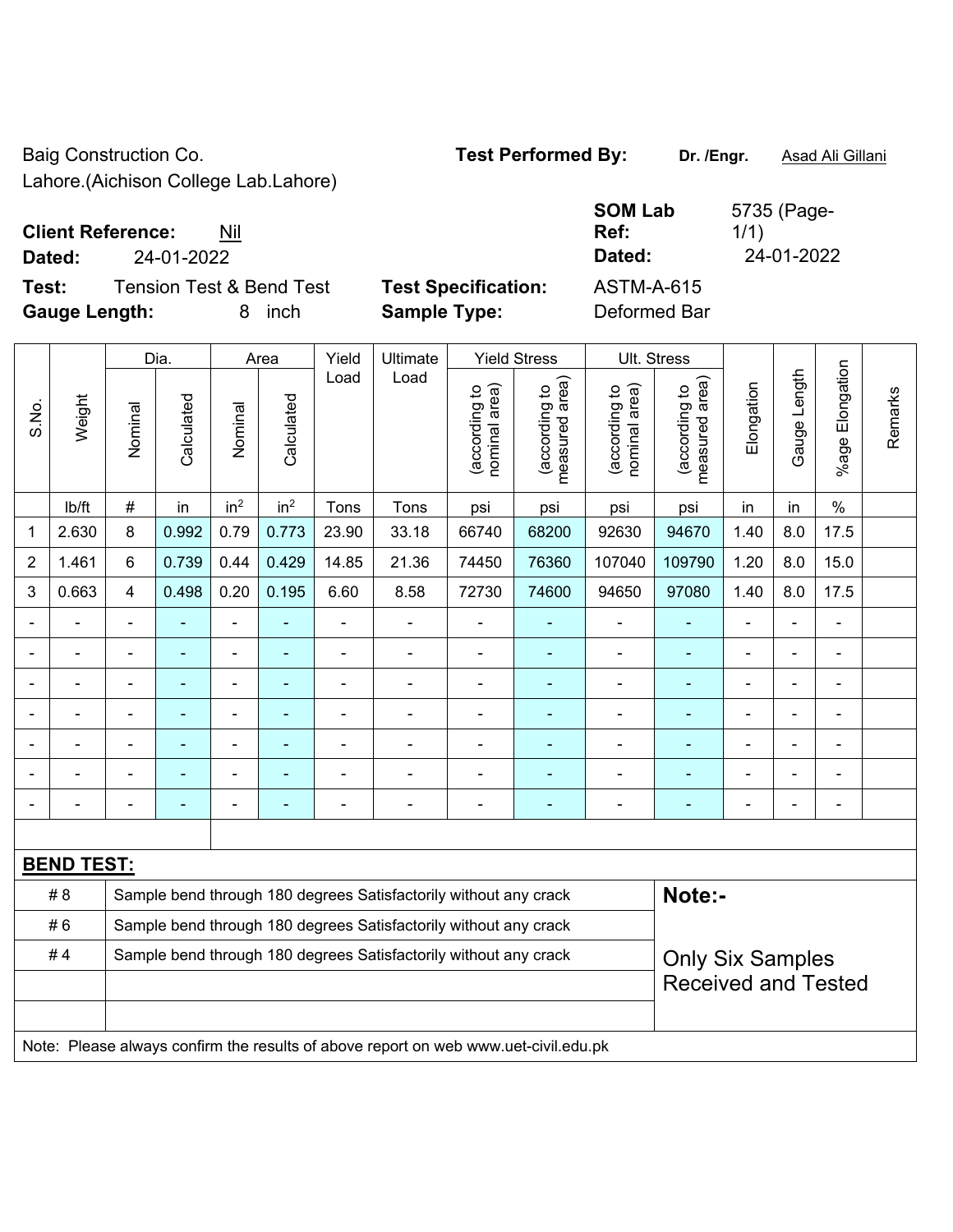Baig Construction Co. **Test Performed By:** Dr. /Engr. **Asad Ali Gillani** 

Lahore.(Aichison College Lab.Lahore)

| <b>Client Reference:</b> | Nil |
|--------------------------|-----|
|                          |     |

**Test:** Tension Test & Bend Test **Test Specification:** ASTM-A-615 **Gauge Length:** 8 inch **Sample Type:** Deformed Bar

**SOM Lab Ref:**  5735 (Page-1/1) **Dated:** 24-01-2022 **Dated:** 24-01-2022

|                |                   |                                                                  | Dia.<br>Area             |                          | Yield           | <b>Ultimate</b> |                                                                                     | <b>Yield Stress</b>            |                                             | Ult. Stress                    |                                 |                |              |                    |         |
|----------------|-------------------|------------------------------------------------------------------|--------------------------|--------------------------|-----------------|-----------------|-------------------------------------------------------------------------------------|--------------------------------|---------------------------------------------|--------------------------------|---------------------------------|----------------|--------------|--------------------|---------|
| S.No.          | Weight            | Nominal                                                          | Calculated               | Nominal                  | Calculated      | Load            | Load                                                                                | nominal area)<br>(according to | (according to<br>measured area)<br>measured | (according to<br>nominal area) | (according to<br>measured area) | Elongation     | Gauge Length | Elongation<br>%age | Remarks |
|                | lb/ft             | $\#$                                                             | in                       | in <sup>2</sup>          | in <sup>2</sup> | Tons            | Tons                                                                                | psi                            | psi                                         | psi                            | psi                             | in             | in           | $\%$               |         |
| 1              | 2.630             | 8                                                                | 0.992                    | 0.79                     | 0.773           | 23.90           | 33.18                                                                               | 66740                          | 68200                                       | 92630                          | 94670                           | 1.40           | 8.0          | 17.5               |         |
| $\overline{2}$ | 1.461             | 6                                                                | 0.739                    | 0.44                     | 0.429           | 14.85           | 21.36                                                                               | 74450                          | 76360                                       | 107040                         | 109790                          | 1.20           | 8.0          | 15.0               |         |
| $\mathfrak{S}$ | 0.663             | 4                                                                | 0.498                    | 0.20                     | 0.195           | 6.60            | 8.58                                                                                | 72730                          | 74600                                       | 94650                          | 97080                           | 1.40           | 8.0          | 17.5               |         |
|                |                   | $\blacksquare$                                                   | ä,                       | ÷,                       |                 | $\blacksquare$  | $\blacksquare$                                                                      | $\blacksquare$                 | $\blacksquare$                              | $\blacksquare$                 | $\blacksquare$                  | $\blacksquare$ |              | $\blacksquare$     |         |
|                | $\blacksquare$    | ÷                                                                | $\blacksquare$           | ÷,                       | $\blacksquare$  | ä,              | ä,                                                                                  | $\blacksquare$                 | $\blacksquare$                              | $\blacksquare$                 | $\blacksquare$                  | $\blacksquare$ |              | ä,                 |         |
|                | $\blacksquare$    | $\overline{a}$                                                   | ä,                       | $\blacksquare$           | $\blacksquare$  | $\blacksquare$  | ÷                                                                                   | $\blacksquare$                 | $\blacksquare$                              | $\blacksquare$                 | $\blacksquare$                  |                |              | $\blacksquare$     |         |
|                |                   |                                                                  | $\blacksquare$           | $\blacksquare$           |                 |                 | ä,                                                                                  | $\blacksquare$                 | $\blacksquare$                              | L,                             | ä,                              |                |              |                    |         |
|                |                   |                                                                  |                          | $\blacksquare$           |                 |                 |                                                                                     |                                |                                             | Ē,                             |                                 |                |              | $\blacksquare$     |         |
|                |                   |                                                                  |                          | $\blacksquare$           |                 |                 |                                                                                     |                                |                                             | ä,                             |                                 |                |              | $\blacksquare$     |         |
|                |                   |                                                                  | $\overline{\phantom{0}}$ | $\overline{\phantom{0}}$ | ٠               |                 | $\blacksquare$                                                                      | $\blacksquare$                 | $\blacksquare$                              | -                              | $\blacksquare$                  | $\blacksquare$ |              | $\blacksquare$     |         |
|                |                   |                                                                  |                          |                          |                 |                 |                                                                                     |                                |                                             |                                |                                 |                |              |                    |         |
|                | <b>BEND TEST:</b> |                                                                  |                          |                          |                 |                 |                                                                                     |                                |                                             |                                |                                 |                |              |                    |         |
|                | #8                |                                                                  |                          |                          |                 |                 | Sample bend through 180 degrees Satisfactorily without any crack                    |                                |                                             |                                | Note:-                          |                |              |                    |         |
|                | #6                |                                                                  |                          |                          |                 |                 | Sample bend through 180 degrees Satisfactorily without any crack                    |                                |                                             |                                |                                 |                |              |                    |         |
|                | #4                | Sample bend through 180 degrees Satisfactorily without any crack |                          |                          |                 |                 |                                                                                     |                                |                                             |                                | <b>Only Six Samples</b>         |                |              |                    |         |
|                |                   |                                                                  |                          |                          |                 |                 |                                                                                     |                                |                                             |                                | <b>Received and Tested</b>      |                |              |                    |         |
|                |                   |                                                                  |                          |                          |                 |                 |                                                                                     |                                |                                             |                                |                                 |                |              |                    |         |
|                |                   |                                                                  |                          |                          |                 |                 | Note: Please always confirm the results of above report on web www.uet-civil.edu.pk |                                |                                             |                                |                                 |                |              |                    |         |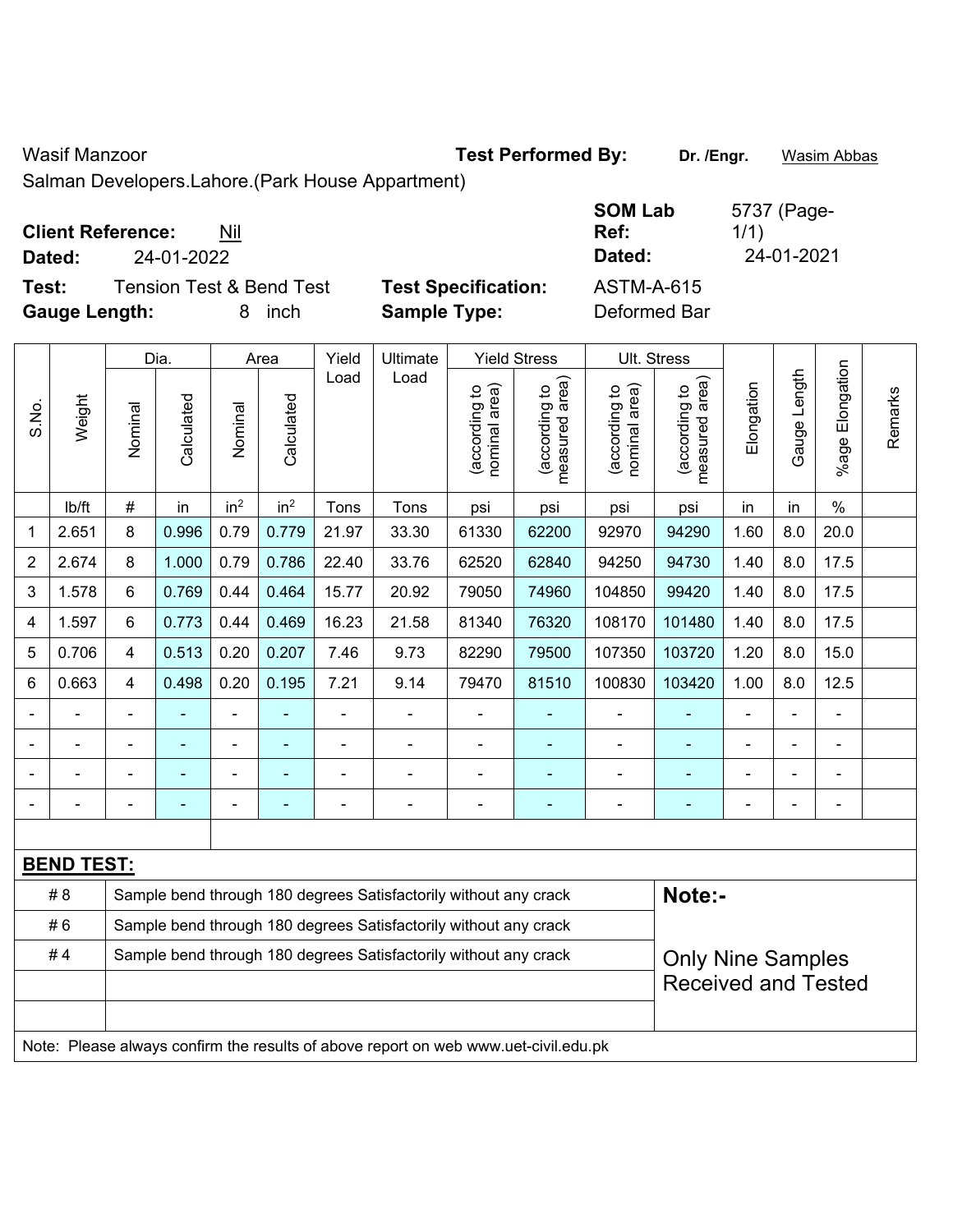Wasif Manzoor **Test Performed By:** Dr. /Engr. **Wasim Abbas** Dr. /Engr. **Wasim Abbas** 

Salman Developers.Lahore.(Park House Appartment)

| <b>Client Reference:</b> | Nil |
|--------------------------|-----|
|--------------------------|-----|

**Dated:** 24-01-2022 **Dated:** 24-01-2021

**Test:** Tension Test & Bend Test **Test Specification: Gauge Length:** 8 inch **Sample Type:** Deformed Bar

| <b>SOM Lab</b><br>Ref: | 5737 (Page-<br>1/1) |
|------------------------|---------------------|
| Dated:                 | 24-01-2021          |
| <b>ASTM-A-615</b>      |                     |

|       |                   |                         | Dia.                     |                 | Area            | Yield          | Ultimate                                                                            |                                | <b>Yield Stress</b>             |                                | Ult. Stress                     |                            |              |                       |         |  |
|-------|-------------------|-------------------------|--------------------------|-----------------|-----------------|----------------|-------------------------------------------------------------------------------------|--------------------------------|---------------------------------|--------------------------------|---------------------------------|----------------------------|--------------|-----------------------|---------|--|
| S.No. | Weight            | Nominal                 | Calculated               | Nominal         | Calculated      | Load           | Load                                                                                | nominal area)<br>(according to | (according to<br>measured area) | nominal area)<br>(according to | measured area)<br>(according to | Elongation                 | Gauge Length | Elongation<br>$%$ age | Remarks |  |
|       | lb/ft             | #                       | in                       | in <sup>2</sup> | in <sup>2</sup> | Tons           | Tons                                                                                | psi                            | psi                             | psi                            | psi                             | in                         | in           | $\frac{0}{0}$         |         |  |
| 1     | 2.651             | 8                       | 0.996                    | 0.79            | 0.779           | 21.97          | 33.30                                                                               | 61330                          | 62200                           | 92970                          | 94290                           | 1.60                       | 8.0          | 20.0                  |         |  |
| 2     | 2.674             | 8                       | 1.000                    | 0.79            | 0.786           | 22.40          | 33.76                                                                               | 62520                          | 62840                           | 94250                          | 94730                           | 1.40                       | 8.0          | 17.5                  |         |  |
| 3     | 1.578             | 6                       | 0.769                    | 0.44            | 0.464           | 15.77          | 20.92                                                                               | 79050                          | 74960                           | 104850                         | 99420                           | 1.40                       | 8.0          | 17.5                  |         |  |
| 4     | 1.597             | 6                       | 0.773                    | 0.44            | 0.469           | 16.23          | 21.58                                                                               | 81340                          | 76320                           | 108170                         | 101480                          | 1.40                       | 8.0          | 17.5                  |         |  |
| 5     | 0.706             | $\overline{\mathbf{4}}$ | 0.513                    | 0.20            | 0.207           | 7.46           | 9.73                                                                                | 82290                          | 79500                           | 107350                         | 103720                          | 1.20                       | 8.0          | 15.0                  |         |  |
| 6     | 0.663             | $\overline{4}$          | 0.498                    | 0.20            | 0.195           | 7.21           | 9.14                                                                                | 79470                          | 81510                           | 100830                         | 103420                          | 1.00                       | 8.0          | 12.5                  |         |  |
|       |                   |                         |                          | $\blacksquare$  |                 |                |                                                                                     | $\blacksquare$                 |                                 | $\blacksquare$                 | ä,                              |                            |              | $\blacksquare$        |         |  |
|       |                   |                         | $\blacksquare$           | $\blacksquare$  |                 | $\blacksquare$ | $\blacksquare$                                                                      | $\blacksquare$                 | ۰                               | $\blacksquare$                 | ۰                               |                            |              | $\blacksquare$        |         |  |
|       |                   | ۰                       | $\overline{\phantom{0}}$ | ÷               |                 |                |                                                                                     | $\blacksquare$                 | ÷                               | $\blacksquare$                 | ٠                               |                            |              | Ē,                    |         |  |
|       |                   | $\blacksquare$          | $\blacksquare$           | $\blacksquare$  | ٠               |                | $\blacksquare$                                                                      | $\blacksquare$                 | $\blacksquare$                  | $\blacksquare$                 | ۰                               | $\blacksquare$             |              | $\blacksquare$        |         |  |
|       |                   |                         |                          |                 |                 |                |                                                                                     |                                |                                 |                                |                                 |                            |              |                       |         |  |
|       | <b>BEND TEST:</b> |                         |                          |                 |                 |                |                                                                                     |                                |                                 |                                |                                 |                            |              |                       |         |  |
|       | # 8               |                         |                          |                 |                 |                | Sample bend through 180 degrees Satisfactorily without any crack                    |                                |                                 |                                | Note:-                          |                            |              |                       |         |  |
|       | #6                |                         |                          |                 |                 |                | Sample bend through 180 degrees Satisfactorily without any crack                    |                                |                                 |                                |                                 |                            |              |                       |         |  |
|       | #4                |                         |                          |                 |                 |                | Sample bend through 180 degrees Satisfactorily without any crack                    |                                |                                 |                                | <b>Only Nine Samples</b>        |                            |              |                       |         |  |
|       |                   |                         |                          |                 |                 |                |                                                                                     |                                |                                 |                                |                                 | <b>Received and Tested</b> |              |                       |         |  |
|       |                   |                         |                          |                 |                 |                |                                                                                     |                                |                                 |                                |                                 |                            |              |                       |         |  |
|       |                   |                         |                          |                 |                 |                | Note: Please always confirm the results of above report on web www.uet-civil.edu.pk |                                |                                 |                                |                                 |                            |              |                       |         |  |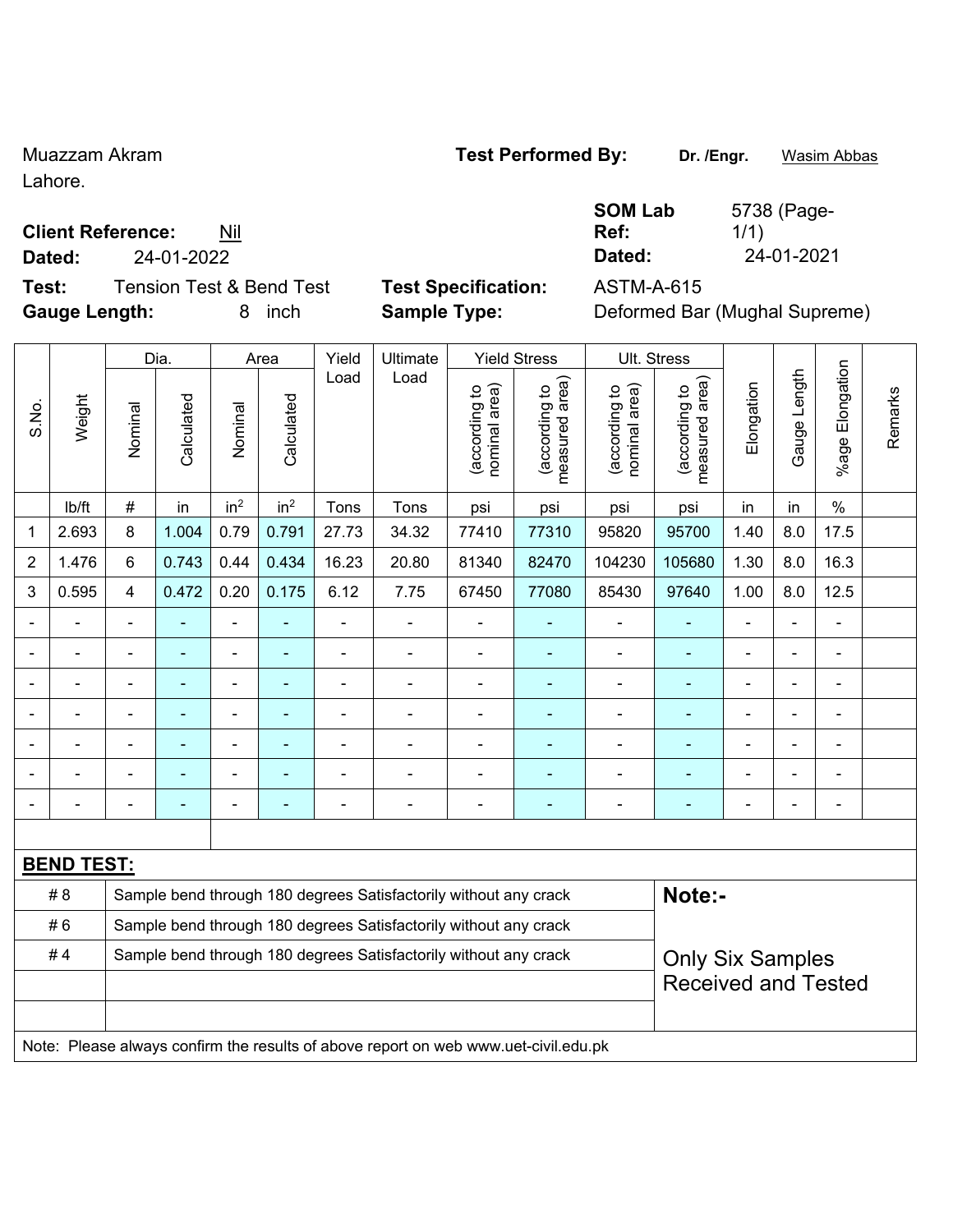Lahore.

### **Client Reference:** Nil

**Test:** Tension Test & Bend Test **Test Specification:** ASTM-A-615 **Gauge Length:** 8 inch **Sample Type:** Deformed Bar (Mughal Supreme)

**Ref: Dated:** 24-01-2022 **Dated:** 24-01-2021

**SOM Lab** 

1/1)

|                |                   |                         | Dia.                     |                              | Area            | Yield          | Ultimate                                                                            |                                | <b>Yield Stress</b>             |                                | Ult. Stress                     |                |                |                          |         |
|----------------|-------------------|-------------------------|--------------------------|------------------------------|-----------------|----------------|-------------------------------------------------------------------------------------|--------------------------------|---------------------------------|--------------------------------|---------------------------------|----------------|----------------|--------------------------|---------|
| S.No.          | Weight            | Nominal                 | Calculated               | Nominal                      | Calculated      | Load           | Load                                                                                | nominal area)<br>(according to | (according to<br>measured area) | nominal area)<br>(according to | measured area)<br>(according to | Elongation     | Gauge Length   | %age Elongation          | Remarks |
|                | Ib/ft             | #                       | in                       | in <sup>2</sup>              | in <sup>2</sup> | Tons           | Tons                                                                                | psi                            | psi                             | psi                            | psi                             | in             | in             | $\%$                     |         |
| 1              | 2.693             | 8                       | 1.004                    | 0.79                         | 0.791           | 27.73          | 34.32                                                                               | 77410                          | 77310                           | 95820                          | 95700                           | 1.40           | 8.0            | 17.5                     |         |
| $\overline{2}$ | 1.476             | 6                       | 0.743                    | 0.44                         | 0.434           | 16.23          | 20.80                                                                               | 81340                          | 82470                           | 104230                         | 105680                          | 1.30           | 8.0            | 16.3                     |         |
| 3              | 0.595             | $\overline{\mathbf{4}}$ | 0.472                    | 0.20                         | 0.175           | 6.12           | 7.75                                                                                | 67450                          | 77080                           | 85430                          | 97640                           | 1.00           | 8.0            | 12.5                     |         |
|                | L,                | ä,                      | ÷,                       | ÷,                           | ÷               | ä,             | ÷,                                                                                  |                                |                                 | ä,                             | $\blacksquare$                  |                |                | $\blacksquare$           |         |
|                |                   |                         | $\overline{\phantom{0}}$ | $\blacksquare$               |                 |                | ä,                                                                                  | $\overline{\phantom{a}}$       | $\blacksquare$                  | $\blacksquare$                 | $\blacksquare$                  |                |                |                          |         |
|                |                   |                         | -                        | $\overline{a}$               |                 |                |                                                                                     |                                |                                 | $\overline{a}$                 | ٠                               |                |                |                          |         |
|                | $\blacksquare$    |                         | ä,                       | ÷,                           |                 | $\blacksquare$ | ä,                                                                                  | Ē,                             |                                 | $\blacksquare$                 | $\blacksquare$                  | $\blacksquare$ |                |                          |         |
|                |                   | $\blacksquare$          | ۰                        | ۰                            | ۰               | $\blacksquare$ | $\blacksquare$                                                                      | $\blacksquare$                 |                                 | $\blacksquare$                 |                                 |                | $\blacksquare$ | $\blacksquare$           |         |
|                |                   |                         | ۰                        | ÷                            |                 |                | $\blacksquare$                                                                      |                                | ٠                               | ٠                              | $\blacksquare$                  |                |                | $\overline{\phantom{0}}$ |         |
|                |                   | $\blacksquare$          | $\blacksquare$           | $\qquad \qquad \blacksquare$ | ÷               | $\blacksquare$ | ÷                                                                                   | $\blacksquare$                 | ÷                               | $\blacksquare$                 | $\blacksquare$                  | $\blacksquare$ |                | $\blacksquare$           |         |
|                |                   |                         |                          |                              |                 |                |                                                                                     |                                |                                 |                                |                                 |                |                |                          |         |
|                | <b>BEND TEST:</b> |                         |                          |                              |                 |                |                                                                                     |                                |                                 |                                |                                 |                |                |                          |         |
|                | #8                |                         |                          |                              |                 |                | Sample bend through 180 degrees Satisfactorily without any crack                    |                                |                                 |                                | Note:-                          |                |                |                          |         |
|                | #6                |                         |                          |                              |                 |                | Sample bend through 180 degrees Satisfactorily without any crack                    |                                |                                 |                                |                                 |                |                |                          |         |
|                | #4                |                         |                          |                              |                 |                | Sample bend through 180 degrees Satisfactorily without any crack                    |                                |                                 |                                | <b>Only Six Samples</b>         |                |                |                          |         |
|                |                   |                         |                          |                              |                 |                |                                                                                     |                                |                                 | <b>Received and Tested</b>     |                                 |                |                |                          |         |
|                |                   |                         |                          |                              |                 |                |                                                                                     |                                |                                 |                                |                                 |                |                |                          |         |
|                |                   |                         |                          |                              |                 |                | Note: Please always confirm the results of above report on web www.uet-civil.edu.pk |                                |                                 |                                |                                 |                |                |                          |         |

## Muazzam Akram **Test Performed By: Dr. /Engr.** Wasim Abbas

5738 (Page-